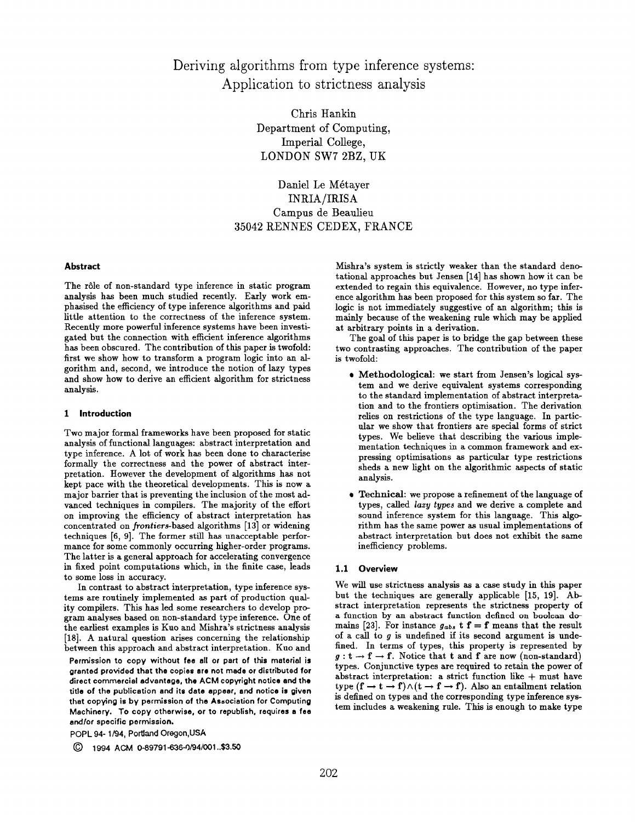Deriving algorithms from type inference systems: Application to strictness analysis

> Chris Hankin Department of Computing, ImperiaJ College, LONDON SW7 2BZ, UK

Daniel Le Métayer INRIA/IRISA Campus de Beaulieu 35042 RENNES CEDEX, FRANCE

# Abstract

The rôle of non-standard type inference in static program analysis has been much studied recently. Early work emphasised the efficiency of type inference algorithms and paid little attention to the correctness of the inference system. Recently more powerful inference systems have been investigated but the connection with efficient inference algorithms has been obscured. The contribution of this paper is twofold: first we show how to transform a program logic into an algorithm and, second, we introduce the notion of lazy types and show how to derive an efficient algorithm for strictness analysis.

#### 1 Introduction

Two major formal frameworks have been proposed for static analysis of functional languages: abstract interpretation and type inference. A lot of work has been done to characterise formally the correctness and the power of abstract interpretation. However the development of algorithms has not kept pace with the theoretical developments. This is now a major barrier that is preventing the inclusion of the most advanced techniques in compilers. The majority of the effort on improving the efficiency of abstract interpretation has concentrated on frontiers-based algorithms [13] or widening techniques [6, 9]. The former still haa unacceptable performance for some commonly occurring higher-order programs. The latter is a general approach for accelerating convergence in fixed point computations which, in the finite case, leads to some loss in accuracy.

In contrast to abstract interpretation, type inference systems are routinely implemented as part of production quality compilers. This has led some researchers to develop program analyses based on non-standard type inference. One of the earliest examples is Kuo and Mishra's strictness analysis [18]. A natural question arises concerning the relationship between this approach and abstract interpretation. Kuo and

Permission to copy without fee all or part of this material is grantad provided that tha copies are not made or distributed for direct commercial advantaga, the ACM copyright notice and the titla of the publication and its data appear, and notice is given thet copying is by permission of the Association for Computing Machinery. To copy otherwise, or to republish, requires a fee and/or specifio permission.

POPL 94-1/94, Portland Oregon, USA

© 1994 ACM 0-89791-636-0/94/001..\$3.50

Mishra's system is strictly weaker than the standard denotational approaches but Jensen [14] has shown how it can be extended to regain this equivalence. However, no type inference algorithm has been proposed for this system so far. The logic is not immediately suggestive of an algorithm; this is mairdy because of the weakening rule which may be applied at arbitrary points in a derivation.

The goal of this paper is to bridge the gap between these two contrasting approaches. The contribution of the paper is twofold:

- Methodological: we start from Jensen's logical system and we derive equivalent systems corresponding to the standard implementation of abstract interpretation and to the frontiers optimisation. The derivation relies on restrictions of the type language. In particular we show that frontiers are special forms of strict types. We believe that describing the various implementation techniques in a common framework and expressing optimisations as particular type restrictions sheds a new light on the algorithmic aspects of static analysis.
- e Technical: we propose a refinement of the language of types, called lazy types and we derive a complete and sound inference system for this language. This algorithm has the same power as usual implementations of abstract interpretation but does not exhibit the same inefficiency problems.

## 1.1 Overvi

We will use strictness analysis as a case stndy in this paper but the techniques are generally applicable [15, 19]. Abstract interpretation represents the strictness property of a function by an abstract function defined on boolean domains [23]. For instance  $g_{abs}$  t  $f = f$  means that the result of a call to  $g$  is undefined if its second argument is undefined. In terms of types, this property is represented by  $g: t \to f \to f$ . Notice that t and f are now (non-standard) types. Conjunctive types are required to retain the power of abstract interpretation: a strict function like  $+$  must have type  $(f \to t \to f) \wedge (t \to f \to f)$ . Also an entailment relation is defined on types and the corresponding type inference system includes a weakening rule. This is enough to make type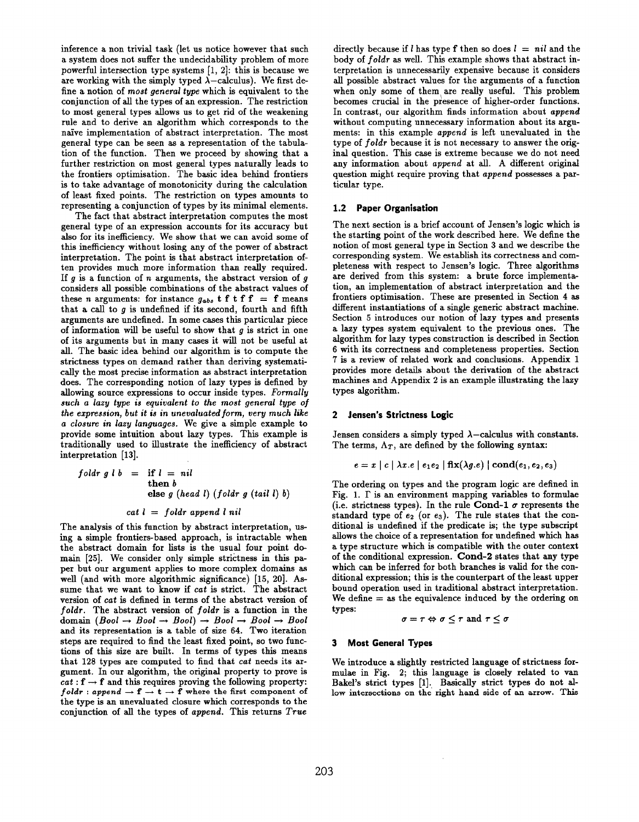inference a non trivial taak (let us notice however that such a system does not suffer the undecidability problem of more powerful intersection type systems [1, 2]: this is because we are working with the simply typed  $\lambda$ -calculus). We first define a notion of most general type which is equivalent to the conjunction of all the types of an expression. The restriction to most general types allows us to get rid of the weakening rule and to derive an algorithm which corresponds to the naive implementation of abstract interpretation. The most general type can be seen as a representation of the tabulation of the function. Then we proceed by showing that a further restriction on most general types naturally leads to the frontiers optimisation. The basic idea behind frontiers is to take advantage of monotonicity during the calculation of least fixed points. The restriction on types amounts to representing a conjunction of types by its minimal elements.

The fact that abstract interpretation computes the most general type of an expression accounts for its accuracy but also for its inefficiency. We show that we can avoid some of this inefficiency without losing any of the power of abstract interpretation. The point is that abstract interpretation often provides much more information than really required. If  $g$  is a function of  $n$  arguments, the abstract version of  $g$ considers all possible combinations of the abstract values of these n arguments: for instance  $g_{abs}$  t f t f f = f means that a call to  $q$  is undefined if its second, fourth and fifth arguments are undefined. In some cases this particular piece of information will be useful to show that  $g$  is strict in one of its arguments but in many caaes it will not be useful at all. The basic idea behind our algorithm is to compute the strictness types on demand rather than deriving systematically the most precise information as abstract interpretation does. The corresponding notion of lazy types is defined by allowing source expressions to occur inside types. Formally such a lazy type is equivalent to the most general type of the expression, but it is in unevaluated form, very much like a closure in lazy languages. We give a simple example to provide some intuition about lazy types. This example is traditionally used to illustrate the inefficiency of abstract interpretation [13].

| $foldr g l b = \text{if } l = \text{nil}$ |
|-------------------------------------------|
| $then b$                                  |
| $else g (head l) (foldr g (tail l) b)$    |

## $cat l = fold r$  append l nil

The analysis of this function by abstract interpretation, using a simple frontiers-bsaed approach, is intractable when the abstract domain for lists is the usual four point domain [25]. We consider only simple strictness in this paper but our argument applies to more complex domains as well (and with more algorithmic significance) [15, 20]. Assume that we want to know if cat is strict. The abstract version of cat is defined in terms of the abstract version of  $foldr$ . The abstract version of  $foldr$  is a function in the domain  $(Bool \rightarrow Bool \rightarrow Bool) \rightarrow Bool \rightarrow Bool \rightarrow Bool$ and its representation is a table of sise 64. Two iteration steps are required to find the least fixed point, so two functions of this size are built. In terms of types this means that 128 types are computed to find that cat needs its argument. In our algorithm, the original property to prove is  $cat : f \rightarrow f$  and this requires proving the following property:  $foldr : append \rightarrow f \rightarrow t \rightarrow f$  where the first component of the type is an unevaluated closure which corresponds to the conjunction of all the types of append. This returns True

directly because if *l* has type f then so does  $l = nil$  and the body of foldr as well. This example shows that abstract interpretation is unnecessarily expensive because it considers all possible abstract values for the arguments of a function when only some of them are really useful. This problem becomes crucial in the presence of higher-order functions. In contrast, our algorithm finds information about append without computing unnecessary information about its arguments: in this example append is left unevaluated in the type of foldr because it is not necessary to answer the original question. This case is extreme because we do not need any information about append at all. A different original question might require proving that append possesses a particular type.

# 1.2 Paper Organisation

The next section is a brief account of Jensen's logic which is the starting point of the work described here. We define the notion of most general type in Section 3 and we describe the corresponding system. We establish its correctness and completeness with respect to Jensen's logic. Three algorithms are derived from this system: a brute force implementation, an implementation of abstract interpretation and the frontiers optimisation. These are presented in Section 4 as different instantiations of a single generic abstract machine. Section 5 introduces our notion of lazy types and presents a lazy types system equivalent to the previous ones. The algorithm for lazy types construction is described in Section 6 with its correctness and completeness properties. Section 7 is a review of related work and conclusions. Appendix 1 provides more details about the derivation of the abstract machines and Appendix 2 is an example illustrating the lazy types algorithm.

## 2 Jensen's Strictness Logic

Jensen considers a simply typed  $\lambda$ –calculus with constants. The terms,  $\Lambda_T$ , are defined by the following syntax:

$$
e = x \mid c \mid \lambda x . e \mid e_1 e_2 \mid \mathbf{fix}(\lambda g . e) \mid \mathbf{cond}(e_1, e_2, e_3)
$$

The ordering on types and the program logic are defined in Fig. 1.  $\Gamma$  is an environment mapping variables to formulae (i.e. strictness types). In the rule Cond-1  $\sigma$  represents the standard type of  $e_2$  (or  $e_3$ ). The rule states that the conditional is undefined if the predicate is; the type subscript allows the choice of a representation for undefined which has a type structure which is compatible with the outer context of the conditional expression. Cond-2 states that any type which can be inferred for both branches is valid for the conditional expression; this is the counterpart of the least upper bound operation used in traditional abstract interpretation. We define  $=$  as the equivalence induced by the ordering on types:

$$
\sigma = \tau \Leftrightarrow \sigma \leq \tau \text{ and } \tau \leq \sigma
$$

### 3 Most General Types

We introduce a slightly restricted language of strictness formulae in Fig. 2; this language is closely related to van Bakel's strict types [1]. Basically strict types do not allow intersections on the right hand side of an arrow. This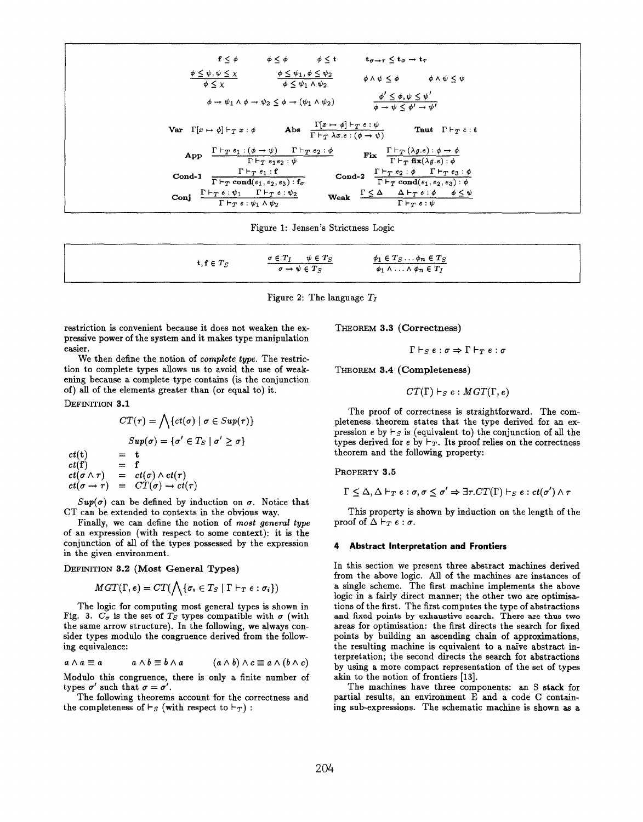$$
f \leq \phi \qquad \phi \leq \phi \qquad \phi \leq t \qquad t_{\sigma \to \tau} \leq t_{\sigma} \to t_{\tau}
$$
\n
$$
\frac{\phi \leq \psi, \psi \leq \chi}{\phi \leq \chi} \qquad \frac{\phi \leq \psi_1, \phi \leq \psi_2}{\phi \leq \psi_1 \land \psi_2} \qquad \phi \land \psi \leq \phi \qquad \phi \land \psi \leq \psi
$$
\n
$$
\phi \to \psi_1 \land \phi \to \psi_2 \leq \phi \to (\psi_1 \land \psi_2) \qquad \frac{\phi' \leq \phi, \psi \leq \psi'}{\phi \to \psi \leq \phi' \to \psi'}
$$
\n
$$
\text{Var } \Gamma[x \to \phi] \vdash_T x : \phi \qquad \text{Abs } \frac{\Gamma[x \to \phi] \vdash_T e : \psi}{\Gamma \vdash_T \lambda x. e : (\phi \to \psi)} \qquad \text{Taut } \Gamma \vdash_T c : t}{\text{Taut } \Gamma \vdash_T e : t}
$$
\n
$$
\text{App } \frac{\Gamma \vdash_T e_1 : (\phi \to \psi) \quad \Gamma \vdash_T e_2 : \phi}{\Gamma \vdash_T e_1 e_2 : \psi} \qquad \text{End-2 } \frac{\Gamma \vdash_T e_2 : \phi \quad \Gamma \vdash_T e_3 : \phi}{\Gamma \vdash_T \text{cond}(e_1, e_2, e_3) : \phi} \qquad \text{Cond-2 } \frac{\Gamma \vdash_T e_2 : \phi \quad \Gamma \vdash_T e_3 : \phi}{\Gamma \vdash_T \text{cond}(e_1, e_2, e_3) : \phi}
$$
\n
$$
\text{Conj } \frac{\Gamma \vdash_T e : \psi_1 \quad \Gamma \vdash_T e : \psi_2}{\Gamma \vdash_T e : \psi_1 \land \psi_2} \qquad \text{Weak } \frac{\Gamma \leq \Delta}{\Gamma \vdash_T e : \psi} \qquad \text{F} \vdash_T e : \psi \qquad \text{F} \vdash_T e : \psi \qquad \text{F} \vdash_T e : \psi \qquad \text{F} \vdash_T e : \psi \qquad \text{F} \vdash_T e : \psi \qquad \text{F} \vdash_T e : \psi \qquad \text{F} \vdash_T e : \psi \qquad \text{F} \vdash_T e
$$

Figure 1: Jensen's Strictness Logic

| t, f $\in T_S$ | $\sigma \in T_I \qquad \psi \in T_S$ | $\phi_1 \in T_S \ldots \phi_n \in T_S$       |
|----------------|--------------------------------------|----------------------------------------------|
|                | $\sigma \rightarrow \psi \in T_S$    | $\phi_1 \wedge \ldots \wedge \phi_n \in T_I$ |

Figure 2: The language  $T_I$ 

restriction is convenient because it does not weaken the expressive power of the system and it makes type manipulation easier.

We then define the notion of complete type. The restriction to complete types allows us to avoid the use of weakening because a complete type contains (is the conjunction of) all of the elements greater than (or equal to) it.

DEFINITION 3.1

$$
CT(\tau) = \bigwedge \{ct(\sigma) \mid \sigma \in Sup(\tau)\}
$$

$$
Sup(\sigma) = \{\sigma' \in T_S \mid \sigma' \ge \sigma\}
$$

$$
ct(\mathbf{t}) = \mathbf{t}
$$

$$
ct(\mathbf{f}) = \mathbf{f}
$$

$$
ct(\sigma \wedge \tau) = ct(\sigma) \wedge ct(\tau)
$$

$$
ct(\sigma \rightarrow \tau) = CT(\sigma) \rightarrow ct(\tau)
$$

 $Sup(\sigma)$  can be defined by induction on  $\sigma$ . Notice that CT can be extended to contexts in the obvious way.

Finally, we can define the notion of most general type of an expression (with respect to some context): it is the conjunction of all of the types possessed by the expression in the given environment.

DEFINITION 3.2 (Most General Types)

$$
MGT(\Gamma, e) = CT(\bigwedge \{ \sigma_i \in T_S \mid \Gamma \vdash_T e : \sigma_i \})
$$

The logic for computing most general types is shown in Fig. 3.  $C_{\sigma}$  is the set of  $T_S$  types compatible with  $\sigma$  (with the same arrow structure). In the following, we always consider types modulo the congruence derived from the following equivalence:

$$
a \wedge a \equiv a \qquad a \wedge b \equiv b \wedge a \qquad (a \wedge b) \wedge c \equiv a \wedge (b \wedge c)
$$

Modulo this congruence, there is only a finite number of types  $\sigma'$  such that  $\sigma = \sigma'$ .

The following theorems account for the correctness and the completeness of  $\vdash_S$  (with respect to  $\vdash_T$ ) :

THEOREM 3.3 (Correctness)

$$
\Gamma \vdash_S e : \sigma \Rightarrow \Gamma \vdash_T e : \sigma
$$

THEOREM 3.4 (Completeness)

$$
CT(\Gamma) \vdash_S e : MGT(\Gamma, e)
$$

The proof of correctness is straightforward. The completeness theorem states that the type derived for an expression e by  $\vdash_S$  is (equivalent to) the conjunction of all the types derived for e by  $\vdash_T$ . Its proof relies on the correctness theorem and the following property:

PROPERTY 3.5

$$
\Gamma \leq \Delta, \Delta \vdash_T e : \sigma, \sigma \leq \sigma' \Rightarrow \exists \tau. CT(\Gamma) \vdash_S e : ct(\sigma') \wedge \tau
$$

This property is shown by induction on the length of the proof of  $\Delta \vdash_T e : \sigma$ .

## 4 Abstract Interpretation and Frontiers

In this section we present three abstract machines derived from the above logic. All of the machines are instances of a single scheme. The first machine implements the above logic in a fairly direct manner; the other two are optimisations of the first. The first computes the type of abstractions and fixed points by exhaustive search. There are thus two areas for optimisation: the first directs the search for fixed points by building an ascending chain of approximations, the resulting machine is equivalent to a naive abstract interpretation; the second directs the search for abstractions by using a more compact representation of the set of types akin to the notion of frontiers [13].

The machines have three components: an S stack for partial results, an environment E and a code C containing sub-expressions. The schematic machine is shown as a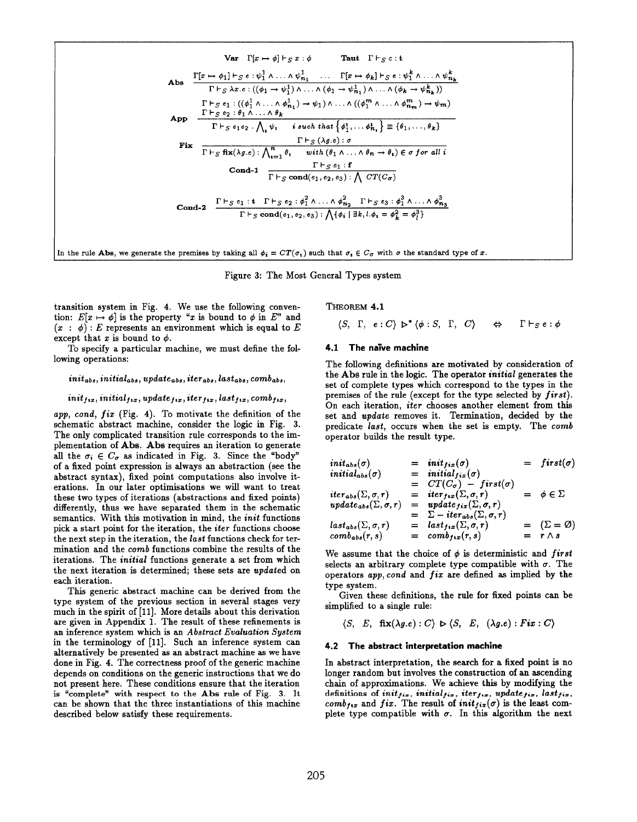Var  $\Gamma[x \mapsto \phi] \vdash_S x : \phi$ Taut  $\Gamma \vdash_S c : t$  $\frac{\Gamma[x \mapsto \phi_1] \vdash_S e : \psi_1^1 \wedge \ldots \wedge \psi_{n_1}^1 \cdots \Gamma[x \mapsto \phi_k] \vdash_S e : \psi_1^k \wedge \ldots \wedge \psi_{n_k}^k}{\Gamma \vdash_S \lambda x. e : ((\phi_1 \rightarrow \psi_1^1) \wedge \ldots \wedge (\phi_1 \rightarrow \psi_{n_1}^1) \wedge \ldots \wedge (\phi_k \rightarrow \psi_{n_k}^k))}$ Abs App  $\Gamma \vdash_{S} e_{1} : ((\phi_{1}^{1} \land ... \land \phi_{n_{1}}^{1}) \to \psi_{1}) \land ... \land ((\phi_{1}^{m} \land ... \land \phi_{n_{m}}^{m}) \to \psi_{m})$ <br>  $\Gamma \vdash_{S} e_{2} : \theta_{1} \land ... \land \theta_{k}$ <br>  $\Gamma \vdash_{S} e_{1} e_{2} \cdot \bigwedge_{i} \psi_{i} \quad i \text{ such that } {\phi_{1}^{i}, ... \phi_{n_{i}}^{i}} \equiv {\theta_{1}, ..., \theta_{k}}$ Fix  $\Gamma\vdash_S (\lambda g.e): \sigma$ <br>  $\Gamma\vdash_S \text{fix}(\lambda g.e): \bigwedge_{i=1}^n \theta_i \quad \text{with } (\theta_1 \wedge \ldots \wedge \theta_n \to \theta_i) \in \sigma \text{ for all } i$ <br>
Cond-1  $\frac{\Gamma\vdash_S e_1 : \mathbf{f}}{\Gamma\vdash_S \text{cond}(e_1, e_2, e_3): \bigwedge CT(C_{\sigma})}$ Cond-2  $\frac{\Gamma\vdash_S e_1 : t \Gamma\vdash_S e_2 : \phi_1^2 \wedge \ldots \wedge \phi_{n_2}^2 \Gamma\vdash_S e_3 : \phi_1^3 \wedge \ldots \wedge \phi_{n_3}^3}{\Gamma\vdash_S \text{cond}(e_1, e_2, e_3) : \bigwedge \{\phi_i \mid \exists k, l, \phi_i = \phi_k^2 = \phi_j^3\}}$ In the rule Abs, we generate the premises by taking all  $\phi_i = CT(\sigma_i)$  such that  $\sigma_i \in C_{\sigma}$  with  $\sigma$  the standard type of x.

Figure 3: The Most General Types system

transition system in Fig. 4. We use the following convention:  $E[x \mapsto \phi]$  is the property "x is bound to  $\phi$  in  $E$ " and  $(x : \phi)$ : E represents an environment which is equal to E except that x is bound to  $\phi$ .

To specify a particular machine, we must define the following operations:

# $init_{abs}$ , initial<sub>abs</sub>, update<sub>abs</sub>, iter<sub>abs</sub>, last<sub>abs</sub>, comb<sub>abs</sub>,

## $init_{fix}$ , initial<sub>tix</sub>, update<sub>tix</sub>, iter<sub>tix</sub>, last<sub>tix</sub>, comb<sub>tix</sub>,

app. cond.  $fix$  (Fig. 4). To motivate the definition of the schematic abstract machine, consider the logic in Fig. 3. The only complicated transition rule corresponds to the implementation of Abs. Abs requires an iteration to generate all the  $\sigma_i \in C_{\sigma}$  as indicated in Fig. 3. Since the "body" of a fixed point expression is always an abstraction (see the abstract syntax), fixed point computations also involve iterations. In our later optimisations we will want to treat these two types of iterations (abstractions and fixed points) differently, thus we have separated them in the schematic semantics. With this motivation in mind, the init functions pick a start point for the iteration, the *iter* functions choose the next step in the iteration, the *last* functions check for termination and the comb functions combine the results of the iterations. The *initial* functions generate a set from which the next iteration is determined; these sets are updated on each iteration.

This generic abstract machine can be derived from the type system of the previous section in several stages very much in the spirit of [11]. More details about this derivation are given in Appendix 1. The result of these refinements is an inference system which is an Abstract Evaluation System in the terminology of [11]. Such an inference system can alternatively be presented as an abstract machine as we have done in Fig. 4. The correctness proof of the generic machine depends on conditions on the generic instructions that we do not present here. These conditions ensure that the iteration is "complete" with respect to the Abs rule of Fig. 3. It can be shown that the three instantiations of this machine described below satisfy these requirements.

THEOREM 4.1

$$
\langle S, \Gamma, e:C \rangle \triangleright^* \langle \phi: S, \Gamma, C \rangle \quad \Leftrightarrow \quad \Gamma \vdash_S e: \phi
$$

## 4.1 The naïve machine

The following definitions are motivated by consideration of the Abs rule in the logic. The operator *initial* generates the set of complete types which correspond to the types in the premises of the rule (except for the type selected by first). On each iteration, iter chooses another element from this set and update removes it. Termination, decided by the predicate last, occurs when the set is empty. The comb operator builds the result type.

$$
initial_{abs}(\sigma) = initial_{fs}(\sigma) = first(\sigma)
$$
\n
$$
initial_{abs}(\sigma) = initial_{fs}(\sigma) = \text{first}(\sigma)
$$
\n
$$
= CT(C_{\sigma}) - first(\sigma)
$$
\n
$$
iter_{abs}(\Sigma, \sigma, r) = iter_{fs}(\Sigma, \sigma, r) = \phi \in \Sigma
$$
\n
$$
update_{abs}(\Sigma, \sigma, r) = update_{fs}(\Sigma, \sigma, r)
$$
\n
$$
last_{abs}(\Sigma, \sigma, r) = last_{fs}(\Sigma, \sigma, r)
$$
\n
$$
= last_{fs}(\Sigma, \sigma, r) = (S = \emptyset)
$$
\n
$$
comb_{abs}(r, s) = comb_{fs}(\sigma, s) = r \wedge s
$$

We assume that the choice of  $\phi$  is deterministic and first selects an arbitrary complete type compatible with  $\sigma$ . The operators *app, cond* and *fix* are defined as implied by the type system.

Given these definitions, the rule for fixed points can be simplified to a single rule:

$$
\langle S, E, \text{fix}(\lambda g.e) : C \rangle \triangleright \langle S, E, (\lambda g.e) : Fix : C \rangle
$$

### 4.2 The abstract interpretation machine

In abstract interpretation, the search for a fixed point is no longer random but involves the construction of an ascending chain of approximations. We achieve this by modifying the definitions of  $init_{fix}$ , initial<sub>fix</sub>, iter<sub>fix</sub>, update<sub>fix</sub>, last<sub>fix</sub>, comb<sub>ftx</sub> and fix. The result of  $init_{fix}(\sigma)$  is the least complete type compatible with  $\sigma$ . In this algorithm the next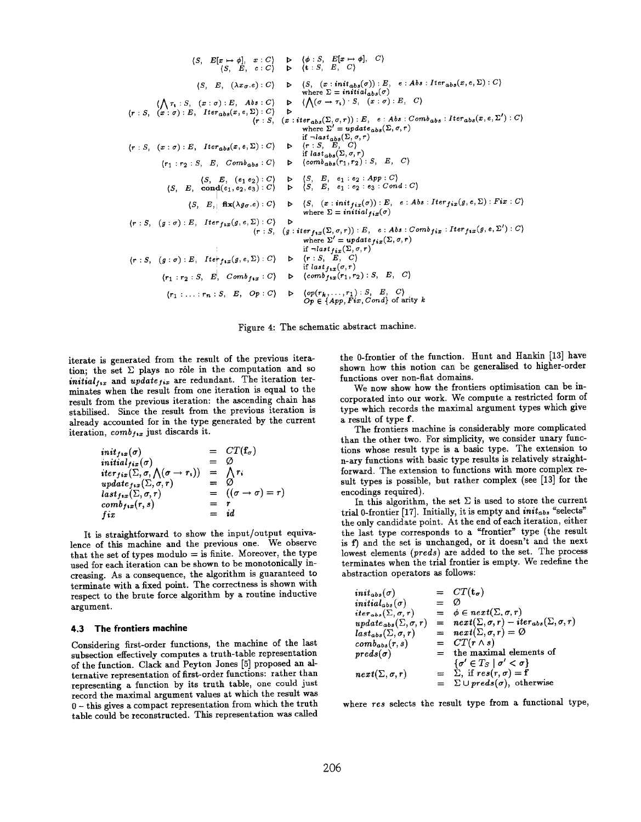$$
(S, E[x \mapsto \phi], x : C) \Rightarrow ( \phi : S, E[x \mapsto \phi], C)
$$
\n
$$
(S, E, c : C) \Rightarrow ( \xi : S, E, C)
$$
\n
$$
(S, E, (\lambda x_{\sigma}.e) : C) \Rightarrow ( S, (x : init_{abs}(\sigma)) : E, e : Abs : Iter_{abs}(x, e, \Sigma) : C)
$$
\n
$$
( \sqrt{r_1} : S, (x : \sigma) : E, Ibs : C) \Rightarrow (\sqrt{(\sigma - r_1)} : S, (x : \sigma) : E, C)
$$
\n
$$
(r : S, (x : \sigma) : E, Its_{abs}(x, e, \Sigma) : C) \Rightarrow (r : S, (x : iter_{abs}(\Sigma, \sigma, r)) : E, e : Abs : Comb_{abs} : Iter_{abs}(x, e, \Sigma') : C)
$$
\n
$$
(r : S, (x : \sigma) : E, Its_{abs}(x, e, \Sigma) : C) \Rightarrow (r : S, E, C)
$$
\n
$$
(r : S, (x : \sigma) : E, Its_{abs}(x, e, \Sigma) : C) \Rightarrow (r : S, E, C)
$$
\n
$$
(r : S, E, Comb_{abs} : C) \Rightarrow ( \xi : S, E, C)
$$
\n
$$
(S, E, (e_1 e_2) : C) \Rightarrow (S, E, e_1 : e_2 : App : C)
$$
\n
$$
(S, E, cond(e_1, e_2, e_3) : C) \Rightarrow (S, E, e_1 : e_2 : app : C)
$$
\n
$$
(S, E, [ax(\lambda g, \sigma. e) : C) \Rightarrow (S, E, e_1 : e_2 : cap : C)
$$
\n
$$
(S, E, [ax(\lambda g, \sigma. e) : C) \Rightarrow (S, (x : init_{fix}(\sigma)) : E, e : Abs :Iter_{fix}(g, e, \Sigma) : Fix : C)
$$
\n
$$
(r : S, (g : \sigma) : E, Iter_{fix}(g, e, \Sigma) : C) \Rightarrow (r : S, (g : iter_{fix}(\Sigma, \sigma, r)) : E, e : Abs : Comb_{fix} : Iter_{fix}(g, e, \Sigma') : C)
$$
\n
$$
(r : S, (g : \sigma) : E, Iter_{fix}(g, e, \Sigma) : C) \Rightarrow (r : S, E, C)
$$
\n
$$
(r_1 : r_2 : S, E, Comb_{fix} :
$$

Figure 4: The schematic abstract machine.

iterate is generated from the result of the previous iteration; the set  $\Sigma$  plays no rôle in the computation and so *initial<sub>ftx</sub>* and *update<sub>fix</sub>* are redundant. The iteration terminates when the result from one iteration is equal to the result from the previous iteration: the ascending chain has stabilised. Since the result from the previous iteration is already accounted for in the type generated by the current iteration,  $comb_{f \star x}$  just discards it.

$$
initial_{fix}(\sigma) = CT(f_{\sigma})
$$
  
\n
$$
initial_{fix}(\sigma) = \emptyset
$$
  
\n
$$
iter_{fix}(\Sigma, \sigma, \bigwedge(\sigma \to r_1)) = \bigwedge r_i
$$
  
\n
$$
update_{fix}(\Sigma, \sigma, r) = \emptyset
$$
  
\n
$$
last_{fix}(\Sigma, \sigma, r) = ((\sigma \to \sigma) = r)
$$
  
\n
$$
comb_{fix}(r, s) = r
$$
  
\n
$$
fix = id
$$

It is straightforward to show the input/output equivalence of this machine and the previous one. We observe that the set of types  $\text{modulo} = \text{is finite. Moreover, the type}$ used for each iteration can be shown to be monotonically increasing. As a consequence, the algorithm is guaranteed to terminate with a fixed point. The correctness is shown with respect to the brute force algorithm by a routine inductive argument.

# 4.3 The frontiers machine

Considering first-order functions, the machine of the last subsection effectively computes a truth-table representation of the function. Clack and Peyton Jones [5] proposed an alternative representation of first-order functions: rather than representing a function by its truth table, one could just record the maximal argument values at which the result was 0 - this gives a compact representation from which the truth table could be reconstructed. This representation was called

the 0-frontier of the function. Hunt and Hankin [13] have shown how this notion can be generalised to higher-order functions over non-flat domains.

We now show how the frontiers optimisation can be incorporated into our work. We compute a restricted form of type which records the maximal argument types which give a result of type f.

The frontiers machine is considerably more complicated than the other two. For simplicity, we consider unary functions whose result type is a basic type. The extension to n-ary functions with basic type results is relatively straightforward. The extension to functions with more complex result types is possible, but rather complex (see [13] for the encodings required).

In this algorithm, the set  $\Sigma$  is used to store the current trial 0-frontier [17]. Initially, it is empty and *init<sub>abs</sub>* "selects" the only candidate point. At the end of each iteration, either the last type corresponds to a "frontier" type (the result is f) and the set is unchanged, or it doesn't and the next lowest elements (preds) are added to the set. The process terminates when the trial frontier is empty. We redefine the abstraction operators as follows:

| $init_{abs}(\sigma)$                                |     | $= CT(t_{\sigma})$                                                |
|-----------------------------------------------------|-----|-------------------------------------------------------------------|
| $initial_{abs}(\sigma)$                             | $=$ | Ø                                                                 |
| iter <sub>abs</sub> $(\Sigma, \sigma, r)$           | $=$ | $\phi \in next(\Sigma, \sigma, r)$                                |
| $\mathit{update}_{\mathit{abs}}(\Sigma, \sigma, r)$ |     | $= \quad next(\Sigma, \sigma, r) - iter_{abs}(\Sigma, \sigma, r)$ |
| $last_{abs}(\Sigma, \sigma, r)$                     |     | $= \text{next}(\Sigma, \sigma, r) = \varnothing$                  |
| $comb_{abs}(r, s)$                                  |     | $= CT(r \wedge s)$                                                |
| $preds(\sigma)$                                     |     | $=$ the maximal elements of                                       |
|                                                     |     | $\{\sigma' \in T_S \mid \sigma' < \sigma\}$                       |
| $\mathit{next}(\Sigma,\sigma,r)$                    |     | $= \sum$ , if $res(r, \sigma) = f$                                |
|                                                     |     | $= \sum \cup preds(\sigma)$ , otherwise                           |

where res selects the result type from a functional type,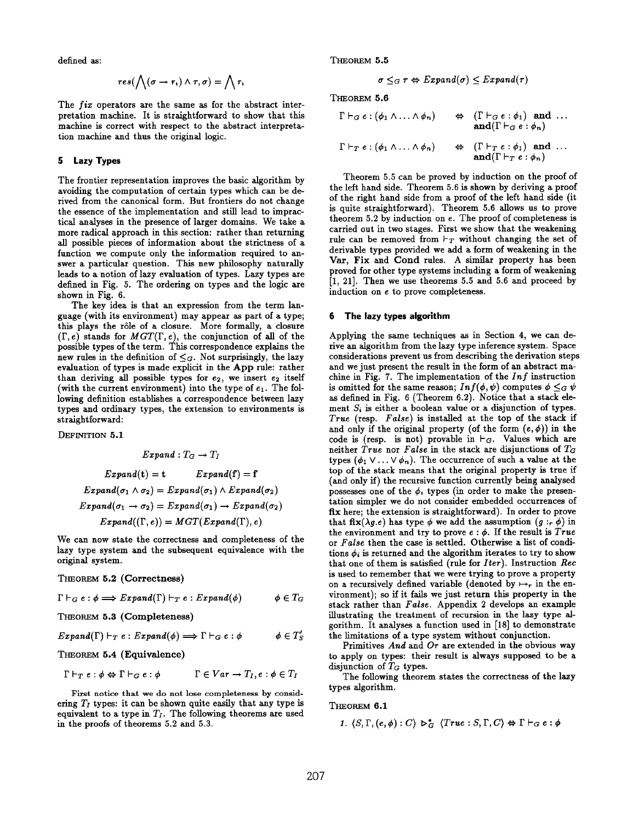defined as:

$$
res(\bigwedge(\sigma \to r_*) \land \tau, \sigma) = \bigwedge r_*
$$

The fix operators are the same aa for the abstract interpretation machine. It is straightforward to show that this machine is correct with respect to the abstract interpretation machine and thus the original logic.

# 5 Lazy Types

The frontier representation improves the basic algorithm by avoiding the computation of certain types which can be derived from the canonical form. But frontiers do not change the essence of the implementation and still lead to impractical analyses in the presence of larger domains. We take a more radical approach in this section: rather than returning all possible pieces of information about the strictness of a function we compute only the information required to answer a particular question. This new philosophy naturally leads to a notion of lazy evaluation of types. Lazy types are defined in Fig. 5. The ordering on types and the logic are shown in Fig. 6.

The key idea is that an expression from the term language (with its environment) may appear as part of a type; this plays the rôle of a closure. More formally, a closure  $(\Gamma, e)$  stands for  $MGT(\Gamma, e)$ , the conjunction of all of the possible types of the term. This correspondence explains the new rules in the definition of  $\leq_G$ . Not surprisingly, the lazy evaluation of types is made explicit in the App rule: rather than deriving all possible types for  $e_2$ , we insert  $e_2$  itself (with the current environment) into the type of  $e_1$ . The following definition establishes a correspondence between lazy types and ordinazy types, the extension to environments is straightforward:

DEFINITION 5.1

$$
Expand: T_G \to T_I
$$
  
\n
$$
Expand(t) = t \qquad Expand(f) = f
$$
  
\n
$$
Expand(\sigma_1 \land \sigma_2) = Expand(\sigma_1) \land Expand(\sigma_2)
$$
  
\n
$$
Expand(\sigma_1 \to \sigma_2) = Expand(\sigma_1) \to Expand(\sigma_2)
$$
  
\n
$$
Expand((\Gamma, e)) = MGT(Expand(\Gamma), e)
$$

We can now state the correctness and completeness of the lazy type system and the subsequent equivalence with the original system.

# THEOREM 5.2 (Correctness)

$$
\Gamma \vdash_G e : \phi \Longrightarrow Expand(\Gamma) \vdash_T e : Expand(\phi) \qquad \phi \in T_G
$$

THEOREM 5.3 (Completeness)

$$
Expand(\Gamma) \vdash_T e : Expand(\phi) \Longrightarrow \Gamma \vdash_G e : \phi \qquad \phi \in T'_S
$$

THEOREM 5.4 (Equivalence)

$$
\Gamma \vdash_T e : \phi \Leftrightarrow \Gamma \vdash_G e : \phi
$$
\n $\Gamma \in Var \rightarrow T_I, e : \phi \in T_I$ 

First notice that we do not lose completeness by considering  $T_I$  types: it can be shown quite easily that any type is equivalent to a type in  $T_I$ . The following theorems are used in the proofs of theorems 5.2 and 5.3.

THEOREM 5.5

$$
\sigma \leq_G \tau \Leftrightarrow Expand(\sigma) \leq Expand(\tau)
$$

THEOREM 5.6

$$
\Gamma \vdash_G e : (\phi_1 \land \ldots \land \phi_n) \qquad \Leftrightarrow \quad (\Gamma \vdash_G e : \phi_1) \text{ and } \ldots
$$
\n
$$
\text{and} (\Gamma \vdash_G e : \phi_n)
$$
\n
$$
\Gamma \vdash_T e : (\phi_1 \land \ldots \land \phi_n) \qquad \Leftrightarrow \quad (\Gamma \vdash_T e : \phi_1) \text{ and } \ldots
$$
\n
$$
\text{and} (\Gamma \vdash_T e : \phi_n)
$$

Theorem 5.5 can be proved by induction on the proof of the left hand side. Theorem 5.6 is shown by deriving a proof of the right hand side from a proof of the left hand side (it is quite straightforward). Theorem 5.6 allows us to prove theorem 5.2 by induction on e. The proof of completeness is carried out in two stages. First we show that the weakening rule can be removed from  $\vdash_T$  without changing the set of derivable types provided we add a form of weakening in the Var, Fix and Cond rules. A similar property has been proved for other type systems including a form of weakening  $[1, 21]$ . Then we use theorems 5.5 and 5.6 and proceed by induction on e to prove completeness.

#### 6 The lazy types algorithm

Applying the same techniques as in Section 4, we can derive an algorithm from the lazy type inference system. Space considerations prevent us from describing the derivation steps and we just present the result in the form of an abstract machine in Fig. 7. The implementation of the  $Inf$  instruction is omitted for the same reason;  $Inf(\phi, \psi)$  computes  $\phi \leq_G \psi$ as defined in Fig. 6 (Theorem 6.2). Notice that a stack element  $S_i$  is either a boolean value or a disjunction of types. True (resp. False) is installed at the top of the stack if and only if the original property (of the form  $(e, \phi)$ ) in the code is (resp. is not) provable in  $\vdash_G$ . Values which are neither  $True$  nor False in the stack are disjunctions of  $T_G$ types  $(\phi_1 \vee \ldots \vee \phi_n)$ . The occurrence of such a value at the top of the stack means that the original property is true if (and only if) the recursive function currently being analysed possesses one of the  $\phi$ , types (in order to make the presentation simpler we do not consider embedded occurrences of fix here; the extension is straightforward). In order to prove that fix( $\lambda g.e$ ) has type  $\phi$  we add the assumption  $(g : r \phi)$  in the environment and try to prove  $e : \phi$ . If the result is True or False then the case is settled. Otherwise a list of conditions  $\phi_i$  is returned and the algorithm iterates to try to show that one of them is satisfied (rule for  $Iter$ ). Instruction  $Rec$ is used to remember that we were trying to prove a property on a recursively defined variable (denoted by  $\mapsto$ , in the environment); so if it fails we just return this property in the stack rather than False. Appendix 2 develops an example illustrating the treatment of recursion in the lasy type algorithm. It analyses a function used in [18] to demonstrate the limitations of a type system without conjunction.

Primitives And and  $Or$  are extended in the obvious way to apply on types: their result is always supposed to be a disjunction of  $T_G$  types.

The following theorem states the correctness of the lazy types algorithm.

#### THEOREM 6.1

1. 
$$
\langle S, \Gamma, (e, \phi) : C \rangle \rhd_G^* \langle True : S, \Gamma, C \rangle \Leftrightarrow \Gamma \vdash_G e : \phi
$$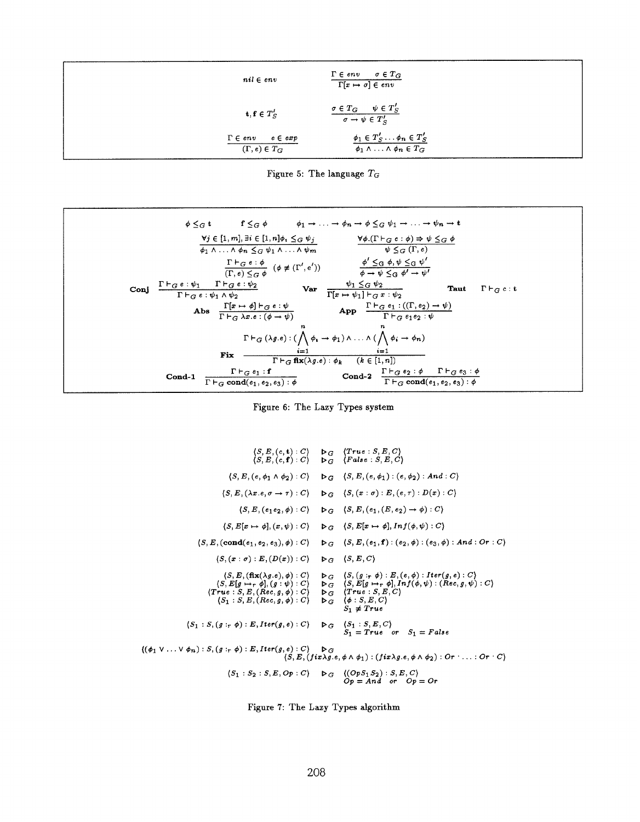| $nil \in env$                                            | $\Gamma \in \mathit{env}$<br>$\sigma \in T_G$<br>$\Gamma[x \mapsto \sigma] \in env$      |
|----------------------------------------------------------|------------------------------------------------------------------------------------------|
| $t, f \in T'_{S}$                                        | $\frac{\sigma \in T_G \quad \psi \in T'_S}{\sigma \to \psi \in T'_S}$                    |
| $\Gamma \in env$<br>$e \in exp$<br>$(\Gamma, e) \in T_G$ | $\phi_1 \in T'_S \ldots \phi_n \in T'_S$<br>$\phi_1 \wedge \ldots \wedge \phi_n \in T_G$ |



| $\mathbf{f} \leq_{G} \phi$ $\phi_{1} \to \ldots \to \phi_{n} \to \phi \leq_{G} \psi_{1} \to \ldots \to \psi_{n} \to \mathbf{t}$<br>$\phi \leq_G t$                                                                                                                     |
|------------------------------------------------------------------------------------------------------------------------------------------------------------------------------------------------------------------------------------------------------------------------|
| $\forall j \in [1, m], \exists i \in [1, n] \phi_i \leq_G \psi_j \qquad \qquad \forall \phi. (\Gamma \vdash_G e : \phi) \Rightarrow \psi \leq_G \phi$<br>$\psi \leq_{G} (\Gamma, e)$<br>$\phi_1 \wedge \ldots \wedge \phi_n \leq_G \psi_1 \wedge \ldots \wedge \psi_m$ |
| $\frac{\Gamma\vdash_G e : \phi}{(\Gamma,e) \leq_G \phi} \quad (\phi \neq (\Gamma',e')) \qquad \frac{\phi' \leq_G \phi, \psi \leq_G \psi'}{\phi \to \psi \leq_G \phi' \to \psi'}$                                                                                       |
| Conj $\frac{\Gamma\vdash_G e:\psi_1\qquad \Gamma\vdash_G e:\psi_2}{\Gamma\vdash_G e:\psi_1\wedge\psi_2}$ Var $\frac{\psi_1\leq_G\psi_2}{\Gamma[x\mapsto\psi_1]\vdash_G x:\psi_2}$<br>Taut<br>$\Gamma \vdash_G c : t$                                                   |
| Abs $\frac{\Gamma[x \mapsto \phi] \vdash_{G} e : \psi}{\Gamma \vdash_{G} \lambda x. e : (\phi \rightarrow \psi)}$ App $\frac{\Gamma \vdash_{G} e_1 : ((\Gamma, e_2) \rightarrow \psi)}{\Gamma \vdash_{G} e_1 e_2 : \psi}$                                              |
| $\Gamma\vdash_G(\lambda g.e) : (\bigwedge^n \phi_i \to \phi_1) \land \dots \land (\bigwedge^n \phi_i \to \phi_n)$                                                                                                                                                      |
| $\frac{i=1}{\Gamma\vdash_G \mathbf{fix}(\lambda g.e): \phi_k \qquad (k\in [1,n])}$<br>Fix                                                                                                                                                                              |
| Cond-2 $\frac{\Gamma\vdash_G e_2:\phi\qquad \Gamma\vdash_G e_3:\phi}{\Gamma\vdash_G\mathop{\mathrm{cond}}(e_1,e_2,e_3):\phi}$<br>$\frac{\Gamma\vdash_G e_1 : \mathbf{f}}{\Gamma\vdash_G\mathbf{cond}(e_1,e_2,e_3) : \phi}$<br>$Cond-1$                                 |



$$
\langle S, E, (c, t): C \rangle \rightarrow G \quad \langle True : S, E, C \rangle
$$
\n
$$
\langle S, E, (c, f): C \rangle \rightarrow G \quad \langle False : S, E, C \rangle
$$
\n
$$
\langle S, E, (e, \phi_1 \land \phi_2): C \rangle \rightarrow G \quad \langle S, E, (e, \phi_1): (e, \phi_2): And : C \rangle
$$
\n
$$
\langle S, E, (\lambda x.e, \sigma \rightarrow \tau): C \rangle \rightarrow G \quad \langle S, (x : \sigma): E, (e, \tau): D(x): C \rangle
$$
\n
$$
\langle S, E, (e_1 e_2, \phi): C \rangle \rightarrow G \quad \langle S, E, (e_1, (E, e_2) \rightarrow \phi): C \rangle
$$
\n
$$
\langle S, E[x \rightarrow \phi], (x, \psi): C \rangle \rightarrow G \quad \langle S, E[x \rightarrow \phi], Inf(\phi, \psi): C \rangle
$$
\n
$$
\langle S, E, (cond(e_1, e_2, e_3), \phi): C \rangle \rightarrow G \quad \langle S, E, (e_1, f): (e_2, \phi): (e_3, \phi): And : Or : C \rangle
$$
\n
$$
\langle S, E, (frac(e_1, e_2), \phi): C \rangle \rightarrow G \quad \langle S, E, (e_1, f): (e_2, \phi): (e_3, \phi): And : Or : C \rangle
$$
\n
$$
\langle S, E, (fix(\lambda g.e), \phi): C \rangle \rightarrow G \quad \langle S, E, G \rangle
$$
\n
$$
\langle S, E[g \rightarrow \tau \phi], (g : \psi): C \rangle \rightarrow G \quad \langle S, E[g \rightarrow \tau \phi], Inf(\phi, \psi): (Rec, g, \psi): C \rangle
$$
\n
$$
\langle True : S, E, (Rec, g, \phi): C \rangle \rightarrow G \quad \langle S, E[g \rightarrow \tau \phi], Inf(\phi, \psi): (Rec, g, \psi): C \rangle
$$
\n
$$
\langle S_1 : S, E, (Rec, g, \phi): C \rangle \rightarrow G \quad \langle S_1 : S, E, C \rangle
$$
\n
$$
\langle S_1 : S, E, (Rec, g, \phi): C \rangle \rightarrow G \quad \langle S_1 : S, E, C \rangle
$$
\n
$$
\langle S_1 : S, (g : \tau \phi): E, Iter(g, e): C \rangle \
$$

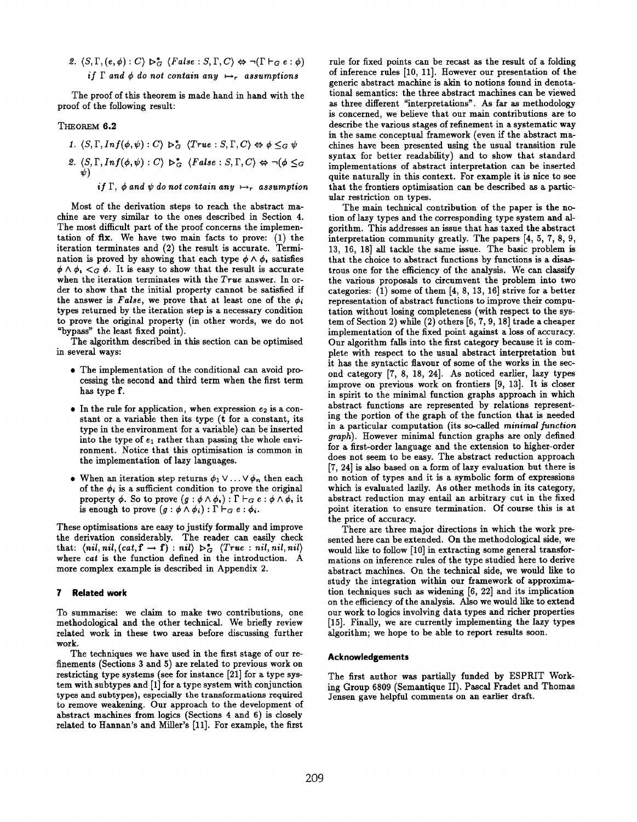2.  $\langle S, \Gamma, (e, \phi) : C \rangle \rhd_G^* \langle False : S, \Gamma, C \rangle \Leftrightarrow \neg(\Gamma \vdash_G e : \phi)$ if  $\Gamma$  and  $\phi$  do not contain any  $\mapsto_r$  assumptions

The proof of this theorem is made hand in hand with the proof of the following result:

# THEOREM 6.2

1.  $\langle S, \Gamma, Inf(\phi, \psi) : C \rangle \rightarrow_{G}^* \langle True : S, \Gamma, C \rangle \Leftrightarrow \phi \leq_G \psi$ 2.  $\langle S, \Gamma, Inf(\phi, \psi) : C \rangle \rightarrow_G^* \langle False : S, \Gamma, C \rangle \Leftrightarrow \neg (\phi \leq_G \psi)$ if  $\Gamma$ ,  $\phi$  and  $\psi$  do not contain any  $\mapsto$ , assumption

Most of the derivation steps to reach the abstract machine are very similar to the ones described in Section 4. The most difficult part of the proof concerns the implementation of  $fix.$  We have two main facts to prove:  $(1)$  the iteration terminates and (2) the result is accurate. Termination is proved by showing that each type  $\phi \wedge \phi$ , satisfies  $\phi \wedge \phi_1 \lt_{G} \phi$ . It is easy to show that the result is accurate when the iteration terminates with the  $True$  answer. In order to show that the initial property cannot be satisfied if the answer is False, we prove that at least one of the  $\phi_i$ types returned by the iteration step is a necessary condition to prove the original property (in other words, we do not "bypass" the least fixed point).

The algorithm described in this section can be optimised in several ways:

- The implementation of the conditional can avoid processing the second and third term when the first term has type f.
- In the rule for application, when expression  $e_2$  is a constant or a variable then its type (t for a constant, its type in the environment for a variable) can be inserted into the type of  $e_1$  rather than passing the whole environment. Notice that this optimisation is common in the implementation of lazy languages.
- When an iteration step returns  $\phi_1 \vee \ldots \vee \phi_n$  then each of the  $\phi_i$  is a sufficient condition to prove the original property  $\phi$ . So to prove  $(g : \phi \wedge \phi_*) : \Gamma \vdash_G e : \phi \wedge \phi_*$  it is enough to prove  $(g : \phi \wedge \phi_i) : \Gamma \vdash_G e : \phi_i$ .

These optimisations are easy to justify formally and improve the derivation considerably. The reader can easily check that:  $\langle nil, nil, (cat, f \rightarrow f) : nil \rangle \triangleright_G^* \langle True : nil, nil, nil \rangle$ where cat is the function defined in the introduction. A more complex example is described in Appendix 2.

# 7 Related work

To summarise: we claim to make two contributions, one methodological and the other technical. We briefly review related work in these two areas before discussing further work.

The techniques we have used in the first stage of our refinements (Sections 3 and 5) are related to previous work on restricting type systems (see for instance  $[21]$  for a type system with subtypes and [1] for a type system with conjunction types and subtypes), especially the transformations required to remove weakening. Our approach to the development of abstract machines from logics (Sections 4 and 6) is closely related to Hannan's and Miller's [11]. For example, the first

rule for fixed points can be recast as the result of a folding of inference rules [10, 11]. However our presentation of the generic abstract machine is akin to notions found in denotational semantics: the three abstract machines can be viewed as three different "interpretations". As far as methodology is concerned, we believe that our main contributions are to describe the various stages of refinement in a systematic way in the same conceptual framework (even if the abstract machines have been presented using the usual transition rule syntax for better readability) and to show that standard implementations of abstract interpretation can be inserted quite naturally in this context. For example it is nice to see that the frontiers optimisation can be described as a particular restriction on types.

The main technical contribution of the paper is the notion of lazy types and the corresponding type system and algorithm. This addresses an issue that has taxed the abstract interpretation community greatly. The papers [4, 5, 7, 8, 9, 13, 16, 18] all tackle the same issue. The basic problem is that the choice to abstract functions by functions is a disastrous one for the efficiency of the analysis. We can classify the various proposals to circumvent the problem into two categories:  $(1)$  some of them  $[4, 8, 13, 16]$  strive for a better representation of abstract functions to improve their computation without losing completeness (with respect to the system of Section 2) while (2) others [6, 7, 9, 18] trade a cheaper implementation of the fixed point against a loss of accuracy. Our algorithm falls into the first category because it is complete with respect to the usual abstract interpretation but it has the syntactic flavour of some of the works in the second category [7, 8, 18, 24]. As noticed earlier, lazy types improve on previous work on frontiers  $[9, 13]$ . It is closer in spirit to the minimal function graphs approach in which abstract functions are represented by relations representing the portion of the graph of the function that is needed in a particular computation (its so-called minimal function graph). However minimal function graphs are only defined for a first-order language and the extension to higher-order does not seem to be easy. The abstract reduction approach [7, 24] is also based on a form of lazy evaluation but there is no notion of types and it is a symbolic form of expressions which is evaluated lazily. As other methods in its category, abstract reduction may entail an arbitrary cut in the fixed point iteration to ensure termination. Of course this is at the price of accuracy.

There are three major directions in which the work presented here can be extended. On the methodological side, we would like to follow [10] in extracting some general transformations on inference rules of the type studied here to derive abstract machines. On the technical side, we would like to study the integration within our framework of approximaion techniques such as widening [6, 22] and its implication on the efficiency of the analysis. Also we would like to extend our work to logics involving data types and richer properties [15]. Finally, we are currently implementing the lazy types algorithm; we hope to be able to report results soon.

#### Acknowledgements

The first author was partially funded by ESPRIT Working Group 6809 (Semantique II). Pascal Fradet and Thomas Jensen gave helpful comments on an earlier draft.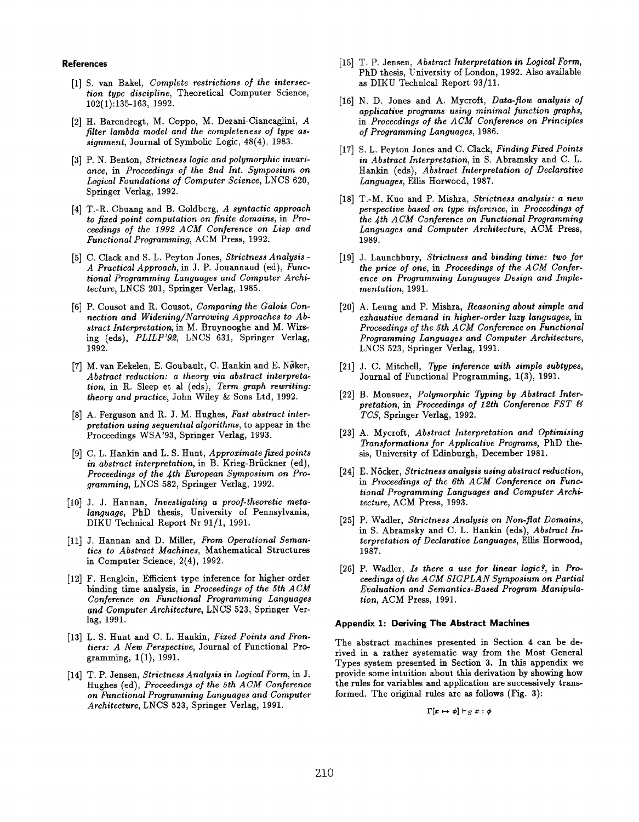References

- [1] S. van Bakel, *Complete restrictions of the interse* tion type discipline, Theoretical Computer Science, 102(1):135-163, 1992.
- [2] H. Barendregt, M. Coppo, M. Dezani-Ciancaglini, A filter lambda model and the completeness of type assignment, Journal of Symbolic Logic, 48(4), 1983.
- [3] P. N. Benton, Strictness logic and polymorphic invar ance, in Proceedings of the 2nd Int. Symposium on Logical Foundations of Computer Science, LNCS 620, Springer Verlag, 1992.
- $[4]$  T.-R. Chuang and B. Goldberg, A syntactic approach to fixed point computation on finite domains, in Proceedings of the 1992 ACM Conference on Lisp and Functional Programming, ACM Press, 1992.
- [5] C. Clack and S. L. Peyton Jones, Strictness Anaiysis A Practical Approach, in J. P. Jouannaud (cd), Functional Programming Languages and Computer Architecture, LNCS 201, Springer Verlag, 1985.
- [6] P. Cousot and R. Cousot, Comparing the Galois Connection and Widening/Narrowing Approaches to Abstract Interpretation, in M. Bruynooghe and M. Wirsing (eds), PLILP'92, LNCS 631, Springer Verlag, 1992.
- [7] M. van Eekelen, E. Goubault, C. Hankin and E. Nbker, Abstract reduction: a theory via abstract interpretation, in R. Sleep et al (eds), Term graph rewriting: theory and practice, John Wiiey & Sons Ltd, 1992.
- $[8]$  A. Ferguson and R. J. M. Hughes, Fast abstract inte pretation using sequential algorithms, to appear in the Proceedings WSA'93, Springer Verlag, 1993.
- $[9]$  C. L. Hankin and L. S. Hunt, Approximate fixed point in abstract interpretation, in B. Krieg-Brückner (ed), Proceedings of the 4th European Symposium on Programming, LNCS 582, Springer Verlag, 1992.
- [10] J. J. Hannan, Investigating a proof-theoretic metalanguage, PhD thesis, University of Pennsylvania, DIKU Technical Report Nr 91/1, 1991.
- [11] J. Hannan and D. Miller, From Operational Seman tics to Abstract Machines, Mathematical Structures in Computer Science, 2(4), 1992.
- [12] F. Henglein, Efficient type inference for higher-order binding time analysis, in Proceedings of the 5th ACM Conference on Functional Programming Languages and Computer Architecture, LNCS 523, Springer Verlag, 1991.
- [13] L. S. Hunt and C. L. Hankin, Fixed Points and Frontiers: A New Perspective, Journal of Functional Programming, l(l), 1991.
- [14] T. P. Jensen, Strictness Analysis in Logical Form, in J. Hughes (ed), Proceedings of the 5th ACM Conference on Functional Programming Languages and Computer Architecture, LNCS 523, Springer Verlag, 1991.
- [15] T. P. Jensen, Abstract Interpretation in Logical Form, PhD thesis, University of London, 1992. Also available as DIKU TechnicaJ Report 93/11.
- $[16]$  N. D. Jones and A. Mycroft,  $\boldsymbol{\it Data\text{-}flow}$  analysis of applicative programs using minimal function graphs, in Proceedings of the ACM Conference on Principles of Programming Languages, 1986.
- $[17]$  S. L. Peyton Jones and C. Clack, Finding Fixed Point in Abstract Interpretation, in S. Abramsky and C. L. Hankin (eds), Abstract Interpretation of Declarative Languages, Ellis Horwood, 1987.
- [18] T.-M. Kuo and P. Mishra, Strictness analysis: a new perspective based on type inference, in Proceedings of the fth ACM Conference on Functional Programming Languages and Computer Architecture, ACM Press, 1989.
- $[19]$  J. Launchbury, Strictness and binding time: two jo the price of one, in Proceedings of the ACM Conference on Programming Languages Design and Implementation, 1991.
- [20] A. Leung and P. Mishra, Reasoning about simple and exhaustive demand in higher-order lazy languages, in Proceedings of the 5th ACM Conference on Functional Programming Languages and Computer Architecture, LNCS 523, Springer Verlag, 1991.
- $[21]$  J. C. Mitchell, Type inference with simple subtype. Journal of Functional Programming, 1(3), 1991.
- [22] B. Monsuez, Polymorphic Typing by Abstract Inte pretation, in Proceedings of 12th Conference  $FST \&$ TCS, Springer Verlag, 1992.
- [23] A. Mycroft, *Abstract Interpretation and Optimis*i Transformations for Applicative Programs, PhD thesis, University of Edinburgh, December 1981.
- $\left[ 24\right] \,$  E. Nocker, Strictness analysis using abstract reductio in Proceedings of the 6th ACM Conference on Functional Programming Languages and Computer Architecture, ACM Press, 1993.
- [25] P. Wadier, *Strictness Analysis on Non-flat Domain* in S. Abramsky and C. L. Hankin (eds), Abstract Interpretation of Declarative Languages, Ellis Horwood, 1987.
- [26] P. Wadler, Is there a use for linear logic?, in Proceedings of the ACM SIGPLAN Symposium on Partial Evaluation and Semantics-Based Program Manipulation, ACM Press, 1991.

## Appendix 1: Deriving The Abstract Machines

The abstract machines presented in Section 4 can be derived in a rather systematic way from the Most General Types system presented in Section 3. In this appendix we provide some intuition about this derivation by showing how the rules for variables and application are successively transformed. The original rules are as follows (Fig. 3):

 $\Gamma[x\mapsto \phi]\vdash_S x:\phi$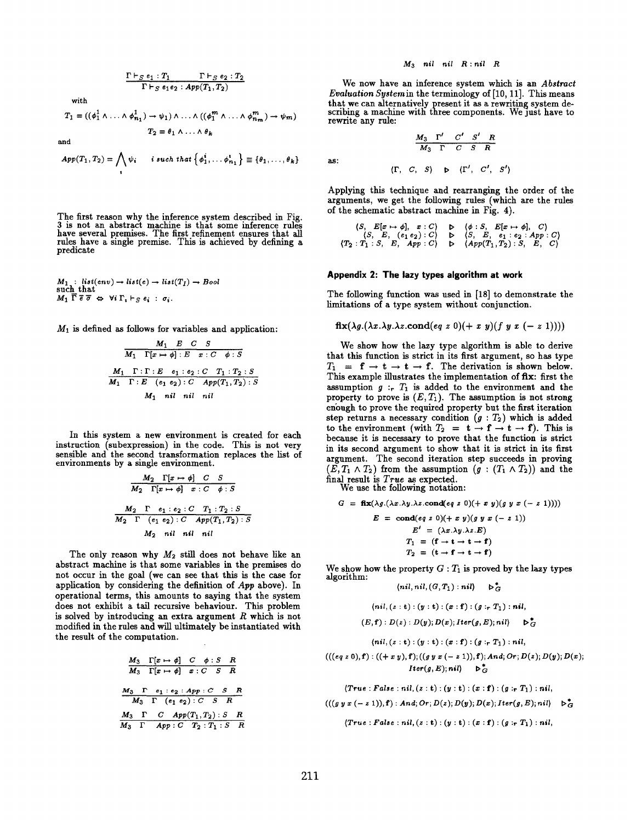$$
\frac{\Gamma \vdash_S e_1 : T_1 \qquad \Gamma \vdash_S e_2 : T_2}{\Gamma \vdash_S e_1 e_2 : App(T_1, T_2)}
$$
\nwith\n
$$
T_1 = ((\phi_1^1 \land \ldots \land \phi_{n_1}^1) \rightarrow \psi_1) \land \ldots \land ((\phi_1^m \land \ldots \land \phi_{n_m}^m) \rightarrow \psi_m)
$$
\n
$$
T_2 = \theta_1 \land \ldots \land \theta_k
$$

and

$$
App(T_1, T_2) = \bigwedge_i \psi_i \qquad i \text{ such that } \left\{\phi_1^i, \ldots, \phi_{n_1}^i\right\} \equiv \left\{\theta_1, \ldots, \theta_k\right\}
$$

The first reason why the inference system described in Fig. 3 is not an abstract machine is that some inference rule have several premises. The first refinement ensures that all rules have a single premise. This is achieved by defining a predicate

$$
M_1 : list(env) \to list(e) \to list(T_I) \to Bool
$$
  
such that  

$$
M_1 \overline{\Gamma} \overline{e} \overline{\sigma} \Leftrightarrow \forall i \Gamma_i \vdash_S e_i : \sigma_i.
$$

 $M_1$  is defined as follows for variables and application:

$$
\frac{M_1 \quad E \quad C \quad S}{M_1 \quad \Gamma[x \mapsto \phi] : E \quad x : C \quad \phi : S}
$$
\n
$$
\frac{M_1 \quad \Gamma : \Gamma : E \quad e_1 : e_2 : C \quad T_1 : T_2 : S}{M_1 \quad \Gamma : E \quad (e_1 e_2) : C \quad App(T_1, T_2) : S}
$$
\n
$$
M_1 \quad nil \quad nil \quad nil
$$

In this system a new environment is created for each instruction (subexpression) in the code. This is not very sensible and the second transformation replaces the list of environments by a single environment.

$$
\frac{M_2 \quad \Gamma[x \mapsto \phi] \quad C \quad S}{M_2 \quad \Gamma[x \mapsto \phi] \quad x : C \quad \phi : S}
$$
\n
$$
\frac{M_2 \quad \Gamma \quad e_1 : e_2 : C \quad T_1 : T_2 : S}{M_2 \quad \Gamma \quad (e_1 e_2) : C \quad App(T_1, T_2) : S}
$$
\n
$$
M_2 \quad nil \quad nil \quad nil
$$

The only reason why  $M_2$  still does not behave like an abstract machine is that some variables in the premises do not occur in the goal (we can see that this is the case for application by considering the definition of App above). In operational terms, this amounts to saying that the system does not exhibit a tail recursive behaviour. This problem is solved by introducing an extra argument  $R$  which is not modified in the rules and will ultimately be instantiated with the result of the computation.

$$
\frac{M_3 \quad \Gamma[x \mapsto \phi] \quad C \quad \phi: S \quad R}{M_3 \quad \Gamma[x \mapsto \phi] \quad x: C \quad S \quad R}
$$
\n
$$
\frac{M_3 \quad \Gamma \quad e_1: e_2: App: C \quad S \quad R}{M_3 \quad \Gamma \quad (e_1 \ e_2): C \quad S \quad R}
$$
\n
$$
\frac{M_3 \quad \Gamma \quad C \quad App(T_1, T_2): S \quad R}{M_3 \quad \Gamma \quad App: C \quad T_2: T_1: S \quad R}
$$

### $M_3$  nil nil  $R : nil \ R$

We now have an inference system which is an Abstract Evaluation System in the terminology of [10, 11]. This means that we can alternatively present it as a rewriting system describing a machine with three components. We just have to rewrite any rule:

 $M_3$   $\Gamma'$   $C'$   $S'$   $R$ 

$$
\cdot
$$

as

 $M_3$   $\Gamma$   $C$  $(\Gamma, C, S) \Rightarrow (\Gamma', C', S')$ 

Applying this technique and rearranging the order of the arguments, we get the following rules (which are the rules of the schematic abstract machine in Fig. 4).

$$
\langle S, E[x \mapsto \phi], x : C \rangle \quad \triangleright \quad \langle \phi : S, E[x \mapsto \phi], C \rangle
$$
\n
$$
\langle S, E, (e_1 e_2) : C \rangle \quad \triangleright \quad \langle S, E, e_1 : e_2 : App : C \rangle
$$
\n
$$
\langle T_2 : T_1 : S, E, App : C \rangle \quad \triangleright \quad \langle App(T_1, T_2) : S, E, C \rangle
$$

### Appendix 2: The lazy types algorithm at work

The following function was used in [18] to demonstrate the limitations of a type system without conjunction.

$$
fix(\lambda g.(\lambda x.\lambda y.\lambda z.\text{cond}(eq\ z\ 0)(+\ x\ y)(f\ y\ x\ (-\ z\ 1))))
$$

We show how the lazy type algorithm is able to derive that this function is strict in its first argument, so haa type  $T_1 = \mathbf{f} \to \mathbf{t} \to \mathbf{t} \to \mathbf{f}$ . The derivation is shown below. This example illustrates the implementation of fix: first the assumption  $g :_{r} T_1$  is added to the environment and the property to prove is  $(E, T_1)$ . The assumption is not strong enough to prove the required property but the first iteration step returns a necessary condition  $(g : T_2)$  which is added to the environment (with  $T_2 = t - f + t \rightarrow f$ ). This is because it is necessary to prove that the function is strict in its second argument to show that it is strict in its first argument. The second iteration step succeeds in proving  $(E, T_1 \wedge T_2)$  from the assumption  $(g : (T_1 \wedge T_2))$  and the final result is True as expected.

We use the following notation:

$$
G = \mathbf{fix}(\lambda g.(\lambda x.\lambda y.\lambda z.\text{cond}(eq z 0)) (+ x y)(g y x (- z 1))))
$$
  
\n
$$
E = \text{cond}(eq z 0)(+ x y)(g y x (- z 1))
$$
  
\n
$$
E' = (\lambda x.\lambda y.\lambda z.E)
$$
  
\n
$$
T_1 = (\mathbf{f} \rightarrow \mathbf{t} \rightarrow \mathbf{t} + \mathbf{f})
$$
  
\n
$$
T_2 = (\mathbf{t} \rightarrow \mathbf{f} \rightarrow \mathbf{t} + \mathbf{f})
$$

We show how the property  $G: T_1$  is proved by the lazy types algorithm: (nil, nil, (G, T1) : nil) b~

$$
\langle nil, nil, (G, T_1) : nil \rangle \qquad \triangleright_G
$$

$$
(nil, (z:t):(y:t):(x:f):(g:rT_1):nil,
$$
  

$$
(E,f):D(z):D(y);D(x);Iter(g,E);nil) \longrightarrow_{G}^{*}
$$

 $(nil, (z:t):(y:t):(x:f):(g:_rT_1):nil,$ 

$$
(((eq\ z\ 0),\mathbf f):((+x\ y),\mathbf f);((g\ y\ x\ (-\ z\ 1)),\mathbf f);And;Or;D(z);D(y);D(x)\\[10pt] \qquad \qquad \mathcal{L}_{\mathcal{G}}^{\ast}
$$

 $(True : False : nil, (z : t) : (y : t) : (x : f) : (g : r T_1) : nil,$  $(((g y x (- z 1)), f) : And; Or; D(z); D(y); D(x); Iter(g, E); nil) \rightarrow_G^*$ 

$$
\langle True : False : nil, (z:t) : (y:t) : (x:f) : (g :_r T_1) : nil,
$$